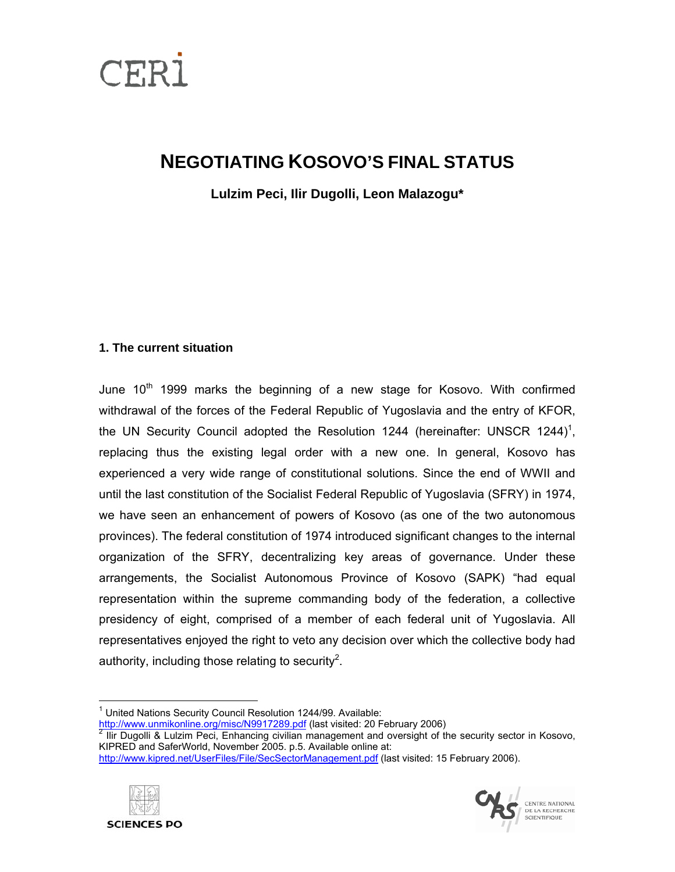

# **NEGOTIATING KOSOVO'S FINAL STATUS**

**Lulzim Peci, Ilir Dugolli, Leon Malazogu\*** 

# **1. The current situation**

June 10<sup>th</sup> 1999 marks the beginning of a new stage for Kosovo. With confirmed withdrawal of the forces of the Federal Republic of Yugoslavia and the entry of KFOR, the UN Security Council adopted the Resolution [1](#page-0-0)244 (hereinafter: UNSCR 1244)<sup>1</sup>, replacing thus the existing legal order with a new one. In general, Kosovo has experienced a very wide range of constitutional solutions. Since the end of WWII and until the last constitution of the Socialist Federal Republic of Yugoslavia (SFRY) in 1974, we have seen an enhancement of powers of Kosovo (as one of the two autonomous provinces). The federal constitution of 1974 introduced significant changes to the internal organization of the SFRY, decentralizing key areas of governance. Under these arrangements, the Socialist Autonomous Province of Kosovo (SAPK) "had equal representation within the supreme commanding body of the federation, a collective presidency of eight, comprised of a member of each federal unit of Yugoslavia. All representatives enjoyed the right to veto any decision over which the collective body had authority, including those relating to security<sup>[2](#page-0-1)</sup>.

<http://www.unmikonline.org/misc/N9917289.pdf>(last visited: [2](http://www.unmikonline.org/misc/N9917289.pdf)0 February 2006)

<span id="page-0-1"></span> Ilir Dugolli & Lulzim Peci, Enhancing civilian management and oversight of the security sector in Kosovo, KIPRED and SaferWorld, November 2005. p.5. Available online at:

<http://www.kipred.net/UserFiles/File/SecSectorManagement.pdf> (last visited: 15 February 2006).





<span id="page-0-0"></span><sup>&</sup>lt;sup>1</sup> United Nations Security Council Resolution 1244/99. Available: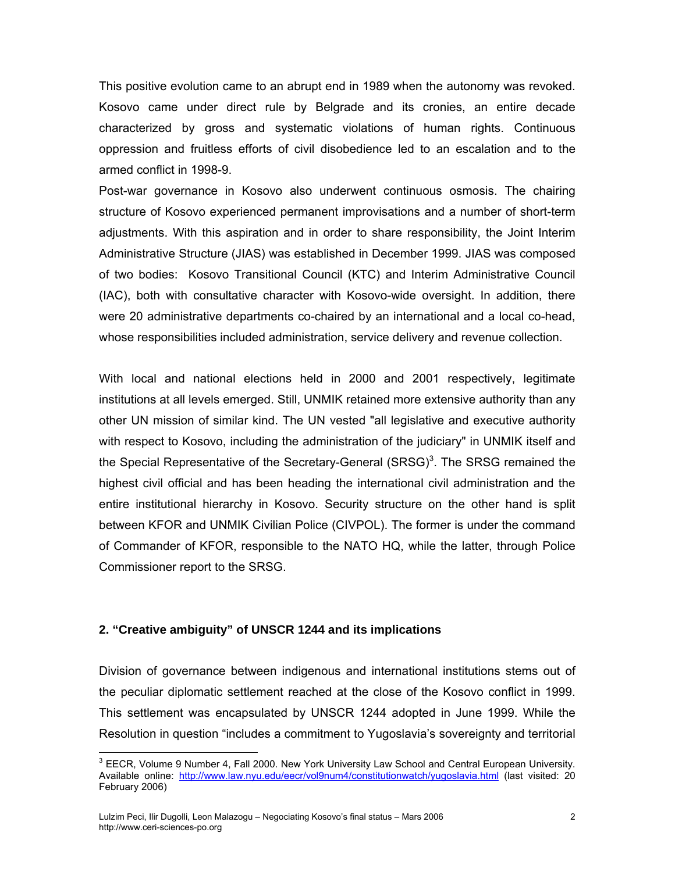This positive evolution came to an abrupt end in 1989 when the autonomy was revoked. Kosovo came under direct rule by Belgrade and its cronies, an entire decade characterized by gross and systematic violations of human rights. Continuous oppression and fruitless efforts of civil disobedience led to an escalation and to the armed conflict in 1998-9.

Post-war governance in Kosovo also underwent continuous osmosis. The chairing structure of Kosovo experienced permanent improvisations and a number of short-term adjustments. With this aspiration and in order to share responsibility, the Joint Interim Administrative Structure (JIAS) was established in December 1999. JIAS was composed of two bodies: Kosovo Transitional Council (KTC) and Interim Administrative Council (IAC), both with consultative character with Kosovo-wide oversight. In addition, there were 20 administrative departments co-chaired by an international and a local co-head, whose responsibilities included administration, service delivery and revenue collection.

With local and national elections held in 2000 and 2001 respectively, legitimate institutions at all levels emerged. Still, UNMIK retained more extensive authority than any other UN mission of similar kind. The UN vested "all legislative and executive authority with respect to Kosovo, including the administration of the judiciary" in UNMIK itself and the Special Representative of the Secretary-General  $(SRSG)^3$  $(SRSG)^3$ . The SRSG remained the highest civil official and has been heading the international civil administration and the entire institutional hierarchy in Kosovo. Security structure on the other hand is split between KFOR and UNMIK Civilian Police (CIVPOL). The former is under the command of Commander of KFOR, responsible to the NATO HQ, while the latter, through Police Commissioner report to the SRSG.

### **2. "Creative ambiguity" of UNSCR 1244 and its implications**

Division of governance between indigenous and international institutions stems out of the peculiar diplomatic settlement reached at the close of the Kosovo conflict in 1999. This settlement was encapsulated by UNSCR 1244 adopted in June 1999. While the Resolution in question "includes a commitment to Yugoslavia's sovereignty and territorial

<span id="page-1-0"></span> $3$  EECR, Volume 9 Number 4, Fall 2000. New York University Law School and Central European University. Available online: <http://www.law.nyu.edu/eecr/vol9num4/constitutionwatch/yugoslavia.html>(last visited: 20 February 2006)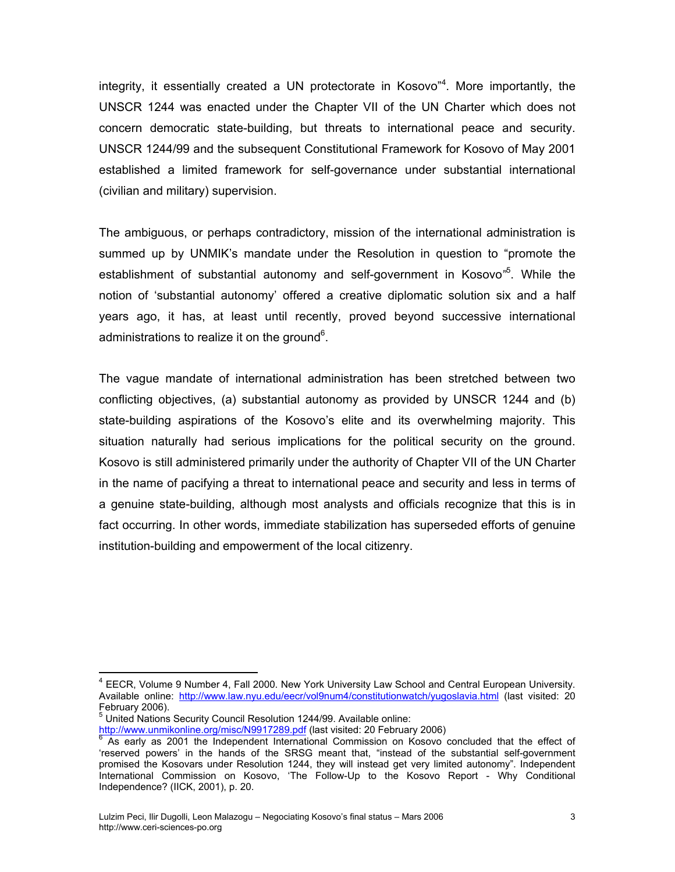integrity, it essentially created a UN protectorate in Kosovo<sup>"[4](#page-2-0)</sup>. More importantly, the UNSCR 1244 was enacted under the Chapter VII of the UN Charter which does not concern democratic state-building, but threats to international peace and security. UNSCR 1244/99 and the subsequent Constitutional Framework for Kosovo of May 2001 established a limited framework for self-governance under substantial international (civilian and military) supervision.

The ambiguous, or perhaps contradictory, mission of the international administration is summed up by UNMIK's mandate under the Resolution in question to "promote the establishment of substantial autonomy and self-government in Kosovo<sup>36</sup>. While the notion of 'substantial autonomy' offered a creative diplomatic solution six and a half years ago, it has, at least until recently, proved beyond successive international administrations to realize it on the ground<sup>[6](#page-2-2)</sup>.

The vague mandate of international administration has been stretched between two conflicting objectives, (a) substantial autonomy as provided by UNSCR 1244 and (b) state-building aspirations of the Kosovo's elite and its overwhelming majority. This situation naturally had serious implications for the political security on the ground. Kosovo is still administered primarily under the authority of Chapter VII of the UN Charter in the name of pacifying a threat to international peace and security and less in terms of a genuine state-building, although most analysts and officials recognize that this is in fact occurring. In other words, immediate stabilization has superseded efforts of genuine institution-building and empowerment of the local citizenry.

<span id="page-2-0"></span><sup>&</sup>lt;sup>4</sup> EECR, Volume 9 Number 4, Fall 2000. New York University Law School and Central European University. Available online: <http://www.law.nyu.edu/eecr/vol9num4/constitutionwatch/yugoslavia.html>(last visited: 20 February 2006).

<span id="page-2-1"></span><sup>&</sup>lt;sup>5</sup> United Nations Security Council Resolution 1244/99. Available online:

<span id="page-2-2"></span><sup>&</sup>lt;u>http://www.unmikonline.org/misc/N9917289.pdf</u> (last visited: 20 February 200[6](http://www.unmikonline.org/misc/N9917289.pdf))<br><sup>6</sup> As early as 2001 the Independent International Commission on Kosovo concluded that the effect of 'reserved powers' in the hands of the SRSG meant that, "instead of the substantial self-government promised the Kosovars under Resolution 1244, they will instead get very limited autonomy". Independent International Commission on Kosovo, 'The Follow-Up to the Kosovo Report - Why Conditional Independence? (IICK, 2001), p. 20.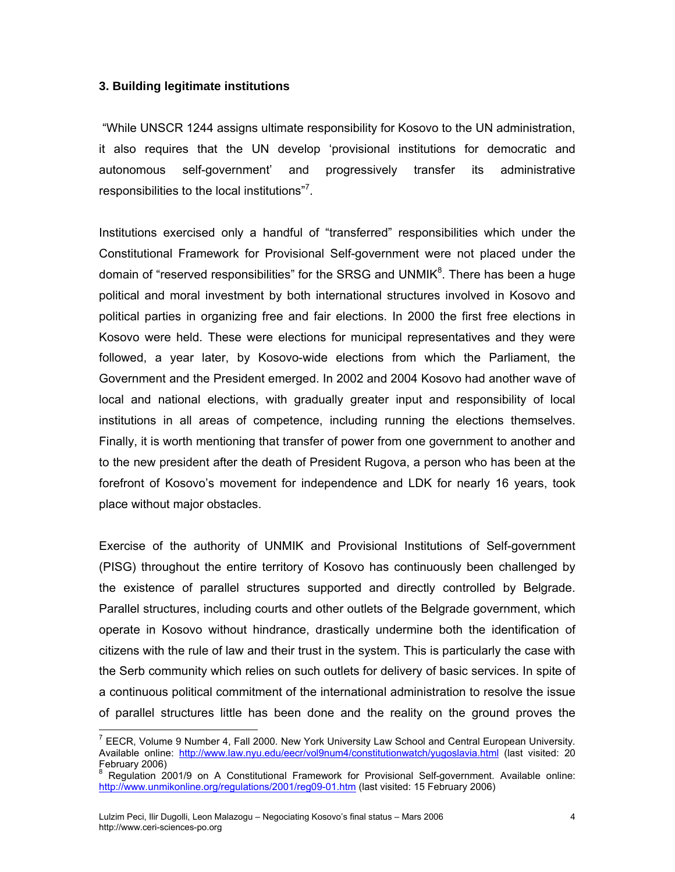## **3. Building legitimate institutions**

 "While UNSCR 1244 assigns ultimate responsibility for Kosovo to the UN administration, it also requires that the UN develop 'provisional institutions for democratic and autonomous self-government' and progressively transfer its administrative responsibilities to the local institutions"<sup>[7](#page-3-0)</sup>.

Institutions exercised only a handful of "transferred" responsibilities which under the Constitutional Framework for Provisional Self-government were not placed under the domain of "reserved responsibilities" for the SRSG and UNMIK ${}^{8}$  ${}^{8}$  ${}^{8}$ . There has been a huge political and moral investment by both international structures involved in Kosovo and political parties in organizing free and fair elections. In 2000 the first free elections in Kosovo were held. These were elections for municipal representatives and they were followed, a year later, by Kosovo-wide elections from which the Parliament, the Government and the President emerged. In 2002 and 2004 Kosovo had another wave of local and national elections, with gradually greater input and responsibility of local institutions in all areas of competence, including running the elections themselves. Finally, it is worth mentioning that transfer of power from one government to another and to the new president after the death of President Rugova, a person who has been at the forefront of Kosovo's movement for independence and LDK for nearly 16 years, took place without major obstacles.

Exercise of the authority of UNMIK and Provisional Institutions of Self-government (PISG) throughout the entire territory of Kosovo has continuously been challenged by the existence of parallel structures supported and directly controlled by Belgrade. Parallel structures, including courts and other outlets of the Belgrade government, which operate in Kosovo without hindrance, drastically undermine both the identification of citizens with the rule of law and their trust in the system. This is particularly the case with the Serb community which relies on such outlets for delivery of basic services. In spite of a continuous political commitment of the international administration to resolve the issue of parallel structures little has been done and the reality on the ground proves the

<span id="page-3-0"></span> $<sup>7</sup>$  EECR, Volume 9 Number 4, Fall 2000. New York University Law School and Central European University.</sup> Available online: <http://www.law.nyu.edu/eecr/vol9num4/constitutionwatch/yugoslavia.html>(last visited: 20 February 2006)

<span id="page-3-1"></span>Regulation 2001/9 on A Constitutional Framework for Provisional Self-government. Available online: <http://www.unmikonline.org/regulations/2001/reg09-01.htm> (last visited: 15 February 2006)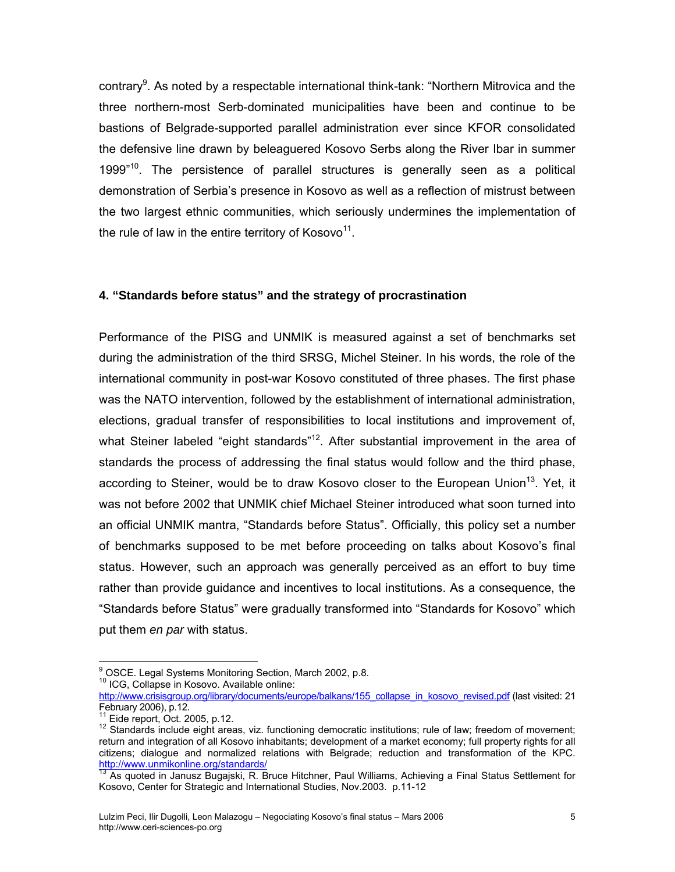contrary<sup>[9](#page-4-0)</sup>. As noted by a respectable international think-tank: "Northern Mitrovica and the three northern-most Serb-dominated municipalities have been and continue to be bastions of Belgrade-supported parallel administration ever since KFOR consolidated the defensive line drawn by beleaguered Kosovo Serbs along the River Ibar in summer 1999"<sup>10</sup>. The persistence of parallel structures is generally seen as a political demonstration of Serbia's presence in Kosovo as well as a reflection of mistrust between the two largest ethnic communities, which seriously undermines the implementation of the rule of law in the entire territory of Kosovo $11$ .

# **4. "Standards before status" and the strategy of procrastination**

Performance of the PISG and UNMIK is measured against a set of benchmarks set during the administration of the third SRSG, Michel Steiner. In his words, the role of the international community in post-war Kosovo constituted of three phases. The first phase was the NATO intervention, followed by the establishment of international administration, elections, gradual transfer of responsibilities to local institutions and improvement of, what Steiner labeled "eight standards"<sup>12</sup>. After substantial improvement in the area of standards the process of addressing the final status would follow and the third phase, according to Steiner, would be to draw Kosovo closer to the European Union<sup>13</sup>. Yet, it was not before 2002 that UNMIK chief Michael Steiner introduced what soon turned into an official UNMIK mantra, "Standards before Status". Officially, this policy set a number of benchmarks supposed to be met before proceeding on talks about Kosovo's final status. However, such an approach was generally perceived as an effort to buy time rather than provide guidance and incentives to local institutions. As a consequence, the "Standards before Status" were gradually transformed into "Standards for Kosovo" which put them *en par* with status.

<span id="page-4-0"></span><sup>9&</sup>lt;br><sup>9</sup> OSCE. Legal Systems Monitoring Section, March 2002, p.8.<br><sup>10</sup> ICG, Collapse in Kosovo. Available online:

<span id="page-4-1"></span>

[http://www.crisisgroup.org/library/documents/europe/balkans/155\\_collapse\\_in\\_kosovo\\_revised.pdf](http://www.crisisgroup.org/library/documents/europe/balkans/155_collapse_in_kosovo_revised.pdf) (last visited: 21<br>February 2006), p.12.

<span id="page-4-3"></span><span id="page-4-2"></span>

<sup>&</sup>lt;sup>11</sup> Eide report, Oct. 2005, p.12.<br><sup>12</sup> Standards include eight areas, viz. functioning democratic institutions; rule of law; freedom of movement; return and integration of all Kosovo inhabitants; development of a market economy; full property rights for all citizens; dialogue and normalized relations with Belgrade; reduction and transformation of the KPC. <http://www.unmikonline.org/standards/><br><sup>13</sup> As quoted in Janusz Bugajski, R. Bruce Hitchner, Paul Williams, Achieving a Final Status Settlement for

<span id="page-4-4"></span>Kosovo, Center for Strategic and International Studies, Nov.2003. p.11-12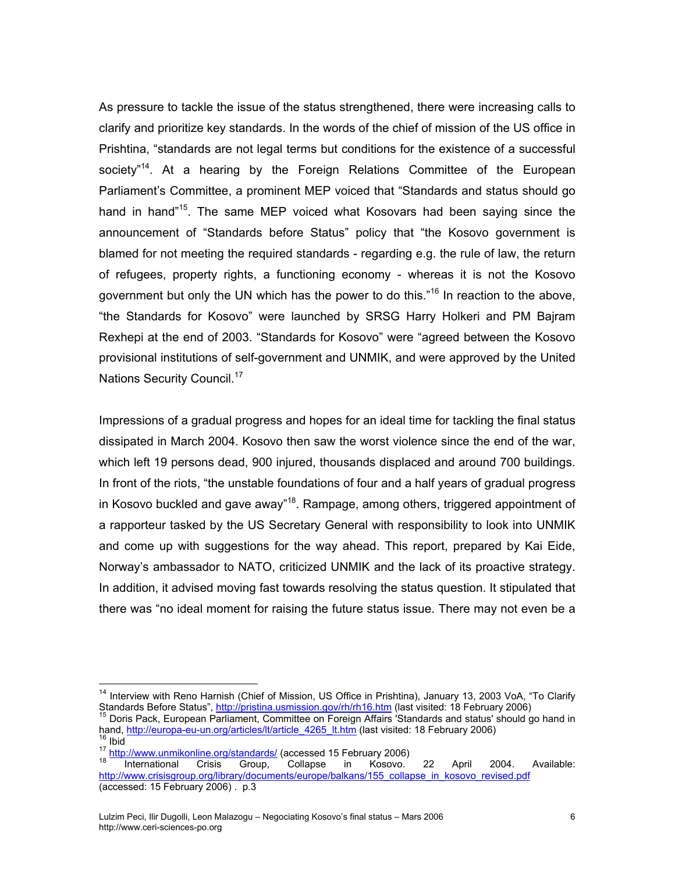As pressure to tackle the issue of the status strengthened, there were increasing calls to clarify and prioritize key standards. In the words of the chief of mission of the US office in Prishtina, "standards are not legal terms but conditions for the existence of a successful society<sup>"14</sup>. At a hearing by the Foreign Relations Committee of the European Parliament's Committee, a prominent MEP voiced that "Standards and status should go hand in hand"<sup>15</sup>. The same MEP voiced what Kosovars had been saying since the announcement of "Standards before Status" policy that "the Kosovo government is blamed for not meeting the required standards - regarding e.g. the rule of law, the return of refugees, property rights, a functioning economy - whereas it is not the Kosovo government but only the UN which has the power to do this."<sup>16</sup> In reaction to the above, "the Standards for Kosovo" were launched by SRSG Harry Holkeri and PM Bajram Rexhepi at the end of 2003. "Standards for Kosovo" were "agreed between the Kosovo provisional institutions of self-government and UNMIK, and were approved by the United Nations Security Council.<sup>[17](#page-5-3)</sup>

Impressions of a gradual progress and hopes for an ideal time for tackling the final status dissipated in March 2004. Kosovo then saw the worst violence since the end of the war, which left 19 persons dead, 900 injured, thousands displaced and around 700 buildings. In front of the riots, "the unstable foundations of four and a half years of gradual progress in Kosovo buckled and gave away<sup>"18</sup>. Rampage, among others, triggered appointment of a rapporteur tasked by the US Secretary General with responsibility to look into UNMIK and come up with suggestions for the way ahead. This report, prepared by Kai Eide, Norway's ambassador to NATO, criticized UNMIK and the lack of its proactive strategy. In addition, it advised moving fast towards resolving the status question. It stipulated that there was "no ideal moment for raising the future status issue. There may not even be a

<span id="page-5-0"></span><sup>&</sup>lt;sup>14</sup> Interview with Reno Harnish (Chief of Mission, US Office in Prishtina), January 13, 2003 VoA, "To Clarify Standards Before Status", <http://pristina.usmission.gov/rh/rh16.htm> (last visited: 18 February 2006)<br><sup>15</sup> Doris Pack, European Parliament, Committee on Foreign Affairs 'Standards and status' should go hand in

<span id="page-5-1"></span>hand, <u>[http://europa-eu-un.org/articles/lt/article\\_4265\\_lt.htm](http://europa-eu-un.org/articles/lt/article_4265_lt.htm)</u> (last visited: 18 February 2006)<br><sup>16</sup> Ibid<br><sup>17</sup> http://www.unmikonline.org/standards/ (accessed 15 February 2006)<br><sup>18</sup> International Crisis Group, Collapse in

<span id="page-5-3"></span><span id="page-5-2"></span>

<span id="page-5-4"></span>[http://www.crisisgroup.org/library/documents/europe/balkans/155\\_collapse\\_in\\_kosovo\\_revised.pdf](http://www.crisisgroup.org/library/documents/europe/balkans/155_collapse_in_kosovo_revised.pdf) (accessed: 15 February 2006) . p.3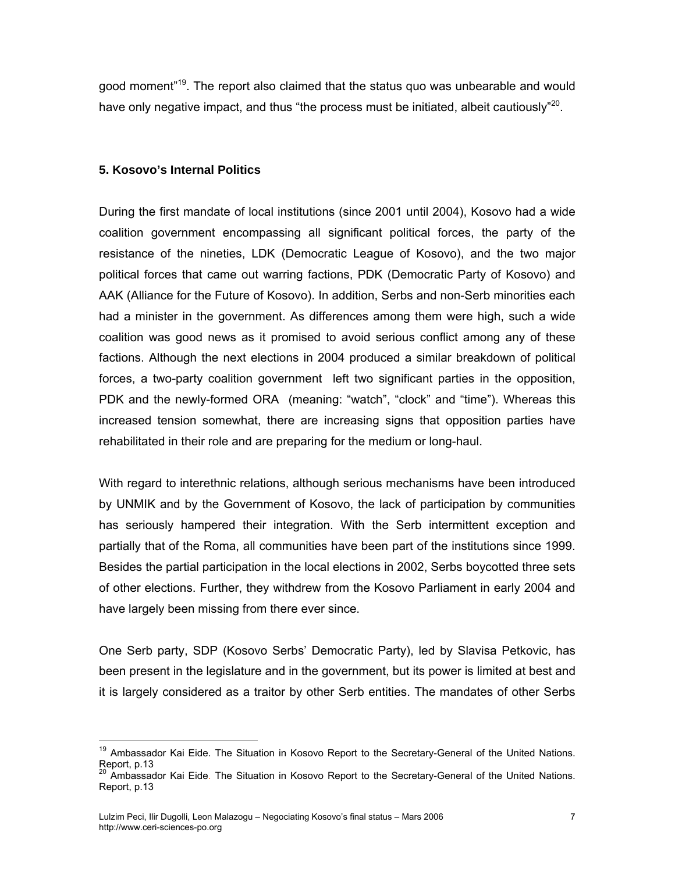good moment<sup>"19</sup>. The report also claimed that the status guo was unbearable and would have only negative impact, and thus "the process must be initiated, albeit cautiously"<sup>20</sup>.

# **5. Kosovo's Internal Politics**

During the first mandate of local institutions (since 2001 until 2004), Kosovo had a wide coalition government encompassing all significant political forces, the party of the resistance of the nineties, LDK (Democratic League of Kosovo), and the two major political forces that came out warring factions, PDK (Democratic Party of Kosovo) and AAK (Alliance for the Future of Kosovo). In addition, Serbs and non-Serb minorities each had a minister in the government. As differences among them were high, such a wide coalition was good news as it promised to avoid serious conflict among any of these factions. Although the next elections in 2004 produced a similar breakdown of political forces, a two-party coalition government left two significant parties in the opposition, PDK and the newly-formed ORA (meaning: "watch", "clock" and "time"). Whereas this increased tension somewhat, there are increasing signs that opposition parties have rehabilitated in their role and are preparing for the medium or long-haul.

With regard to interethnic relations, although serious mechanisms have been introduced by UNMIK and by the Government of Kosovo, the lack of participation by communities has seriously hampered their integration. With the Serb intermittent exception and partially that of the Roma, all communities have been part of the institutions since 1999. Besides the partial participation in the local elections in 2002, Serbs boycotted three sets of other elections. Further, they withdrew from the Kosovo Parliament in early 2004 and have largely been missing from there ever since.

One Serb party, SDP (Kosovo Serbs' Democratic Party), led by Slavisa Petkovic, has been present in the legislature and in the government, but its power is limited at best and it is largely considered as a traitor by other Serb entities. The mandates of other Serbs

<span id="page-6-0"></span><sup>&</sup>lt;sup>19</sup> Ambassador Kai Eide. The Situation in Kosovo Report to the Secretary-General of the United Nations. Report, p.13<br><sup>20</sup> Ambassador Kai Eide. The Situation in Kosovo Report to the Secretary-General of the United Nations.

<span id="page-6-1"></span>Report, p.13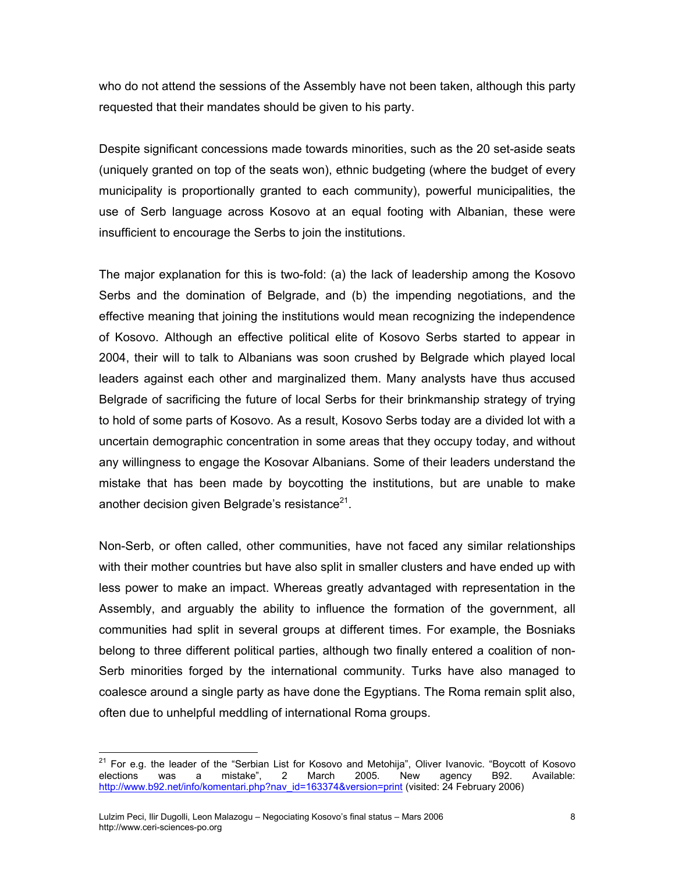who do not attend the sessions of the Assembly have not been taken, although this party requested that their mandates should be given to his party.

Despite significant concessions made towards minorities, such as the 20 set-aside seats (uniquely granted on top of the seats won), ethnic budgeting (where the budget of every municipality is proportionally granted to each community), powerful municipalities, the use of Serb language across Kosovo at an equal footing with Albanian, these were insufficient to encourage the Serbs to join the institutions.

The major explanation for this is two-fold: (a) the lack of leadership among the Kosovo Serbs and the domination of Belgrade, and (b) the impending negotiations, and the effective meaning that joining the institutions would mean recognizing the independence of Kosovo. Although an effective political elite of Kosovo Serbs started to appear in 2004, their will to talk to Albanians was soon crushed by Belgrade which played local leaders against each other and marginalized them. Many analysts have thus accused Belgrade of sacrificing the future of local Serbs for their brinkmanship strategy of trying to hold of some parts of Kosovo. As a result, Kosovo Serbs today are a divided lot with a uncertain demographic concentration in some areas that they occupy today, and without any willingness to engage the Kosovar Albanians. Some of their leaders understand the mistake that has been made by boycotting the institutions, but are unable to make another decision given Belgrade's resistance $21$ .

Non-Serb, or often called, other communities, have not faced any similar relationships with their mother countries but have also split in smaller clusters and have ended up with less power to make an impact. Whereas greatly advantaged with representation in the Assembly, and arguably the ability to influence the formation of the government, all communities had split in several groups at different times. For example, the Bosniaks belong to three different political parties, although two finally entered a coalition of non-Serb minorities forged by the international community. Turks have also managed to coalesce around a single party as have done the Egyptians. The Roma remain split also, often due to unhelpful meddling of international Roma groups.

<span id="page-7-0"></span><sup>&</sup>lt;sup>21</sup> For e.g. the leader of the "Serbian List for Kosovo and Metohija", Oliver Ivanovic. "Boycott of Kosovo elections was a mistake", 2 March 2005. New agency B92. Available: [http://www.b92.net/info/komentari.php?nav\\_id=163374&version=print](http://www.b92.net/info/komentari.php?nav_id=163374&version=print) (visited: 24 February 2006)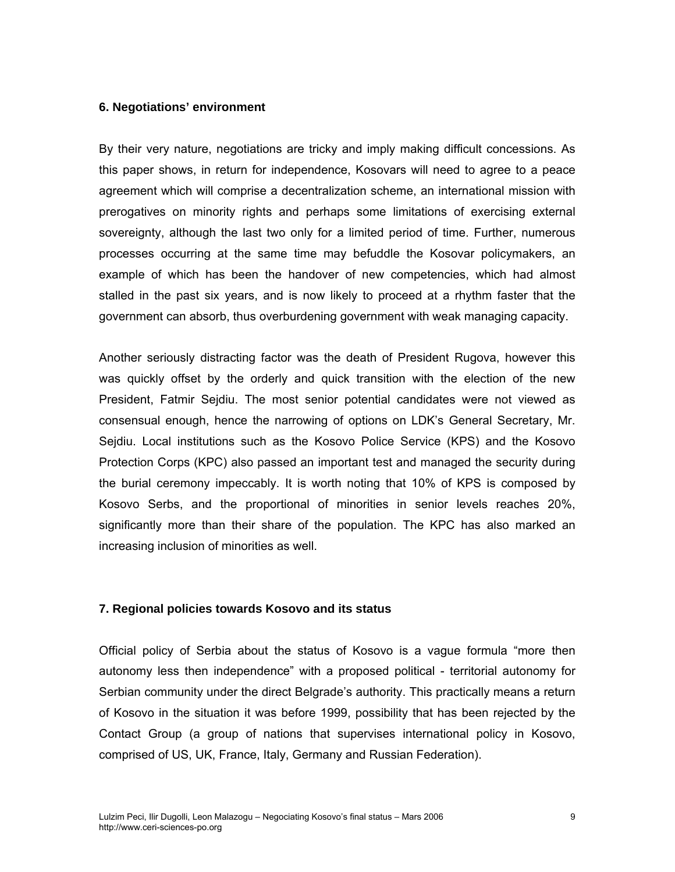#### **6. Negotiations' environment**

By their very nature, negotiations are tricky and imply making difficult concessions. As this paper shows, in return for independence, Kosovars will need to agree to a peace agreement which will comprise a decentralization scheme, an international mission with prerogatives on minority rights and perhaps some limitations of exercising external sovereignty, although the last two only for a limited period of time. Further, numerous processes occurring at the same time may befuddle the Kosovar policymakers, an example of which has been the handover of new competencies, which had almost stalled in the past six years, and is now likely to proceed at a rhythm faster that the government can absorb, thus overburdening government with weak managing capacity.

Another seriously distracting factor was the death of President Rugova, however this was quickly offset by the orderly and quick transition with the election of the new President, Fatmir Sejdiu. The most senior potential candidates were not viewed as consensual enough, hence the narrowing of options on LDK's General Secretary, Mr. Sejdiu. Local institutions such as the Kosovo Police Service (KPS) and the Kosovo Protection Corps (KPC) also passed an important test and managed the security during the burial ceremony impeccably. It is worth noting that 10% of KPS is composed by Kosovo Serbs, and the proportional of minorities in senior levels reaches 20%, significantly more than their share of the population. The KPC has also marked an increasing inclusion of minorities as well.

#### **7. Regional policies towards Kosovo and its status**

Official policy of Serbia about the status of Kosovo is a vague formula "more then autonomy less then independence" with a proposed political - territorial autonomy for Serbian community under the direct Belgrade's authority. This practically means a return of Kosovo in the situation it was before 1999, possibility that has been rejected by the Contact Group (a group of nations that supervises international policy in Kosovo, comprised of US, UK, France, Italy, Germany and Russian Federation).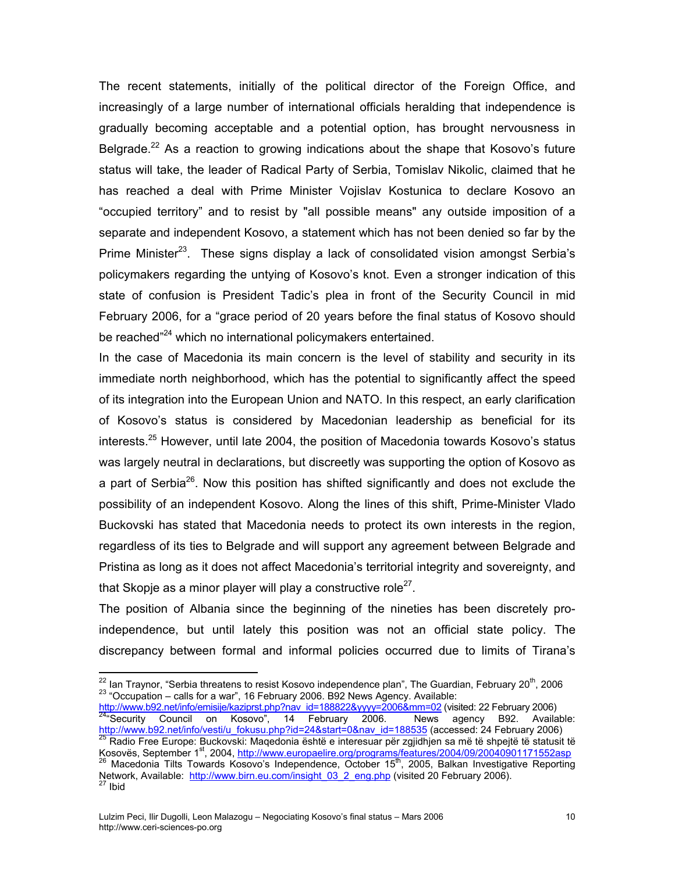The recent statements, initially of the political director of the Foreign Office, and increasingly of a large number of international officials heralding that independence is gradually becoming acceptable and a potential option, has brought nervousness in Belgrade.<sup>22</sup> As a reaction to growing indications about the shape that Kosovo's future status will take, the leader of Radical Party of Serbia, Tomislav Nikolic, claimed that he has reached a deal with Prime Minister Vojislav Kostunica to declare Kosovo an "occupied territory" and to resist by "all possible means" any outside imposition of a separate and independent Kosovo, a statement which has not been denied so far by the Prime Minister<sup>23</sup>. These signs display a lack of consolidated vision amongst Serbia's policymakers regarding the untying of Kosovo's knot. Even a stronger indication of this state of confusion is President Tadic's plea in front of the Security Council in mid February 2006, for a "grace period of 20 years before the final status of Kosovo should be reached<sup>"24</sup> which no international policymakers entertained.

In the case of Macedonia its main concern is the level of stability and security in its immediate north neighborhood, which has the potential to significantly affect the speed of its integration into the European Union and NATO. In this respect, an early clarification of Kosovo's status is considered by Macedonian leadership as beneficial for its interests.<sup>25</sup> However, until late 2004, the position of Macedonia towards Kosovo's status was largely neutral in declarations, but discreetly was supporting the option of Kosovo as a part of Serbia<sup>26</sup>. Now this position has shifted significantly and does not exclude the possibility of an independent Kosovo. Along the lines of this shift, Prime-Minister Vlado Buckovski has stated that Macedonia needs to protect its own interests in the region, regardless of its ties to Belgrade and will support any agreement between Belgrade and Pristina as long as it does not affect Macedonia's territorial integrity and sovereignty, and that Skopje as a minor player will play a constructive role<sup>27</sup>.

The position of Albania since the beginning of the nineties has been discretely proindependence, but until lately this position was not an official state policy. The discrepancy between formal and informal policies occurred due to limits of Tirana's

<span id="page-9-2"></span><u>http://www.b92.net/info/emisije/kaziprst.php?nav\_id=188822&yyyy=2006&mm=02</u> (visited: 22 February 2006)<br><sup>[24](http://www.b92.net/info/emisije/kaziprst.php?nav_id=188822&yyyy=2006&mm=02)</sup>"Security Council on Kosovo", 14 February 2006. News agency B92. Available: <u>http://www.b92.net/info/vesti/u\_fokusu.php?id=24&start=0&nav\_id=188535</u> (accessed: 24 February 2006)<br><sup>25</sup> Radio Free Europe: Buckovski: Maqedonia është e interesuar për zgjidhjen sa më të shpejtë të statusit të

<span id="page-9-3"></span>Kosovës, September 1st, 2004, <http://www.europaelire.org/programs/features/2004/09/20040901171552asp><br><sup>26</sup> Macedonia Tilts Towards Kosovo's Independence, October 15<sup>[th](http://www.europaelire.org/programs/features/2004/09/20040901171552asp)</sup>, 2005, Balkan Investigative Reporting

<span id="page-9-1"></span><span id="page-9-0"></span><sup>&</sup>lt;sup>22</sup> Ian Traynor, "Serbia threatens to resist Kosovo independence plan", The Guardian, February 20<sup>th</sup>, 2006<br><sup>23</sup> "Occupation – calls for a war", 16 February 2006. B92 News Agency. Available:

<span id="page-9-5"></span><span id="page-9-4"></span>Network, Available: http://www.birn.eu.com/insight\_03\_2\_eng.php (visited 20 February 2006).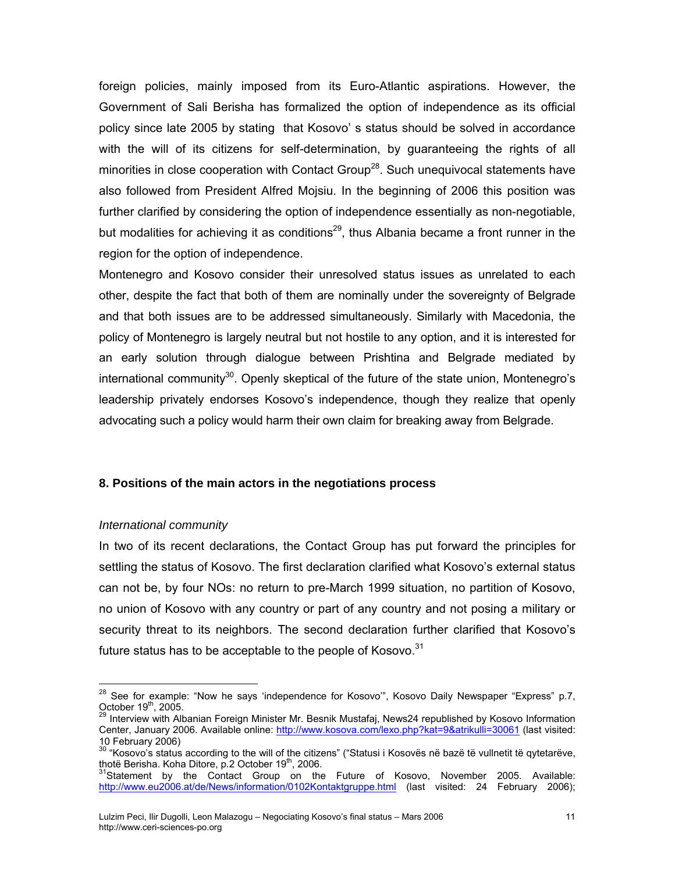foreign policies, mainly imposed from its Euro-Atlantic aspirations. However, the Government of Sali Berisha has formalized the option of independence as its official policy since late 2005 by stating that Kosovo' s status should be solved in accordance with the will of its citizens for self-determination, by guaranteeing the rights of all minorities in close cooperation with Contact Group<sup>28</sup>. Such unequivocal statements have also followed from President Alfred Mojsiu. In the beginning of 2006 this position was further clarified by considering the option of independence essentially as non-negotiable, but modalities for achieving it as conditions<sup>29</sup>, thus Albania became a front runner in the region for the option of independence.

Montenegro and Kosovo consider their unresolved status issues as unrelated to each other, despite the fact that both of them are nominally under the sovereignty of Belgrade and that both issues are to be addressed simultaneously. Similarly with Macedonia, the policy of Montenegro is largely neutral but not hostile to any option, and it is interested for an early solution through dialogue between Prishtina and Belgrade mediated by international community<sup>30</sup>. Openly skeptical of the future of the state union, Montenegro's leadership privately endorses Kosovo's independence, though they realize that openly advocating such a policy would harm their own claim for breaking away from Belgrade.

### **8. Positions of the main actors in the negotiations process**

### *International community*

 $\overline{a}$ 

In two of its recent declarations, the Contact Group has put forward the principles for settling the status of Kosovo. The first declaration clarified what Kosovo's external status can not be, by four NOs: no return to pre-March 1999 situation, no partition of Kosovo, no union of Kosovo with any country or part of any country and not posing a military or security threat to its neighbors. The second declaration further clarified that Kosovo's future status has to be acceptable to the people of Kosovo. $31$ 

<span id="page-10-0"></span><sup>&</sup>lt;sup>28</sup> See for example: "Now he says 'independence for Kosovo'", Kosovo Daily Newspaper "Express" p.7,

<span id="page-10-1"></span>October 19<sup>th</sup>, 2005.<br><sup>29</sup> Interview with Albanian Foreign Minister Mr. Besnik Mustafaj, News24 republished by Kosovo Information Center, January 2006. Available online: <http://www.kosova.com/lexo.php?kat=9&atrikulli=30061>(last visited:

<span id="page-10-2"></span><sup>10</sup> February 2006)<br><sup>30</sup> "Kosovo's status according to the will of the citizens" ("Statusi i Kosovës në bazë të vullnetit të qytetarëve,<br>thotë Berisha. Koha Ditore, p.2 October 19<sup>th</sup>, 2006.

<span id="page-10-3"></span><sup>&</sup>lt;sup>31</sup>Statement by the Contact Group on the Future of Kosovo, November 2005. Available: <http://www.eu2006.at/de/News/information/0102Kontaktgruppe.html>(last visited: 24 February 2006);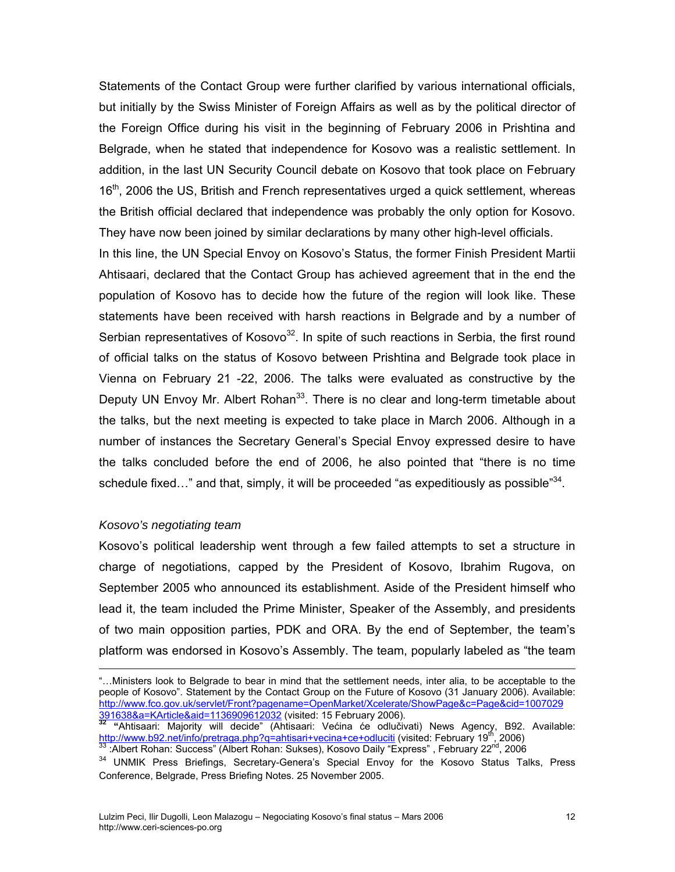Statements of the Contact Group were further clarified by various international officials, but initially by the Swiss Minister of Foreign Affairs as well as by the political director of the Foreign Office during his visit in the beginning of February 2006 in Prishtina and Belgrade, when he stated that independence for Kosovo was a realistic settlement. In addition, in the last UN Security Council debate on Kosovo that took place on February 16<sup>th</sup>, 2006 the US, British and French representatives urged a quick settlement, whereas the British official declared that independence was probably the only option for Kosovo. They have now been joined by similar declarations by many other high-level officials.

In this line, the UN Special Envoy on Kosovo's Status, the former Finish President Martii Ahtisaari, declared that the Contact Group has achieved agreement that in the end the population of Kosovo has to decide how the future of the region will look like. These statements have been received with harsh reactions in Belgrade and by a number of Serbian representatives of Kosovo $32$ . In spite of such reactions in Serbia, the first round of official talks on the status of Kosovo between Prishtina and Belgrade took place in Vienna on February 21 -22, 2006. The talks were evaluated as constructive by the Deputy UN Envoy Mr. Albert Rohan<sup>33</sup>. There is no clear and long-term timetable about the talks, but the next meeting is expected to take place in March 2006. Although in a number of instances the Secretary General's Special Envoy expressed desire to have the talks concluded before the end of 2006, he also pointed that "there is no time schedule fixed..." and that, simply, it will be proceeded "as expeditiously as possible"<sup>34</sup>.

#### *Kosovo's negotiating team*

<u>.</u>

Kosovo's political leadership went through a few failed attempts to set a structure in charge of negotiations, capped by the President of Kosovo, Ibrahim Rugova, on September 2005 who announced its establishment. Aside of the President himself who lead it, the team included the Prime Minister, Speaker of the Assembly, and presidents of two main opposition parties, PDK and ORA. By the end of September, the team's platform was endorsed in Kosovo's Assembly. The team, popularly labeled as "the team

<sup>&</sup>quot;…Ministers look to Belgrade to bear in mind that the settlement needs, inter alia, to be acceptable to the people of Kosovo". Statement by the Contact Group on the Future of Kosovo (31 January 2006). Available: [http://www.fco.gov.uk/servlet/Front?pagename=OpenMarket/Xcelerate/ShowPage&c=Page&cid=1007029](http://www.fco.gov.uk/servlet/Front?pagename=OpenMarket/Xcelerate/ShowPage&c=Page&cid=1007029%20391638&a=KArticle&aid=1136909612032) 

<span id="page-11-0"></span><sup>&</sup>lt;mark>[391638&a=KArticle&aid=1136909612032](http://www.fco.gov.uk/servlet/Front?pagename=OpenMarket/Xcelerate/ShowPage&c=Page&cid=1007029%20391638&a=KArticle&aid=1136909612032)</mark> (visited: 15 February 2006).<br><sup>32</sup> "Ahtisaari: Majority will decide" (Ahtisaari: Većina će odlučivati) News Agency, B92. Available: <http://www.b92.net/info/pretraga.php?q=ahtisari+vecina+ce+odluciti> (visited: February 19<sup>th</sup>, 2006)<br><sup>[33](http://www.b92.net/info/pretraga.php?q=ahtisari+vecina+ce+odluciti)</sup> :Albert Rohan: Success" (Albert Rohan: Sukses), Kosovo Daily "Express" , February 22<sup>nd</sup>, 2006<br><sup>34</sup> UNMIK Press Brief

<span id="page-11-1"></span>

<span id="page-11-2"></span>Conference, Belgrade, Press Briefing Notes. 25 November 2005.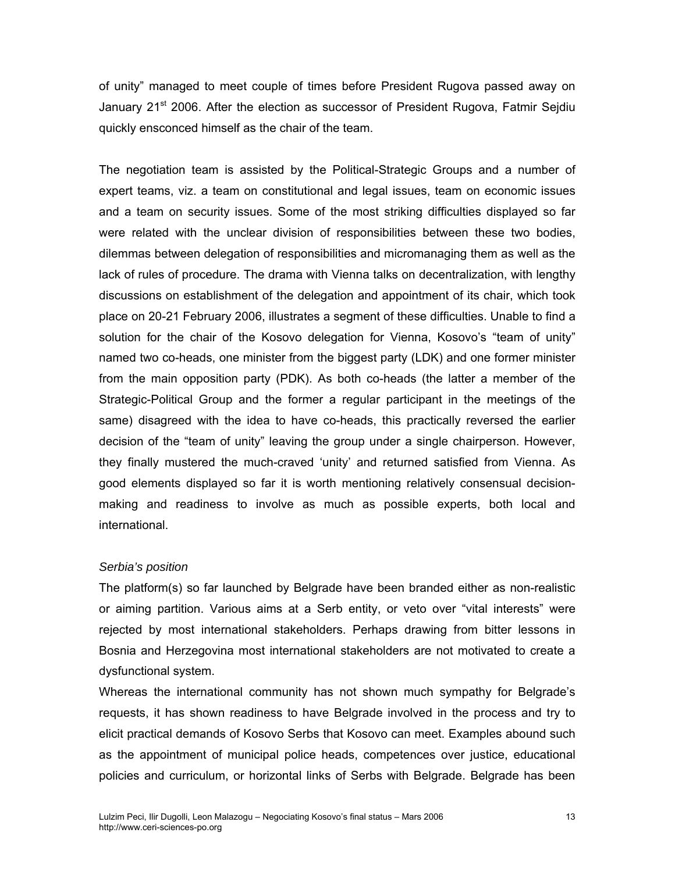of unity" managed to meet couple of times before President Rugova passed away on January 21<sup>st</sup> 2006. After the election as successor of President Rugova, Fatmir Sejdiu quickly ensconced himself as the chair of the team.

The negotiation team is assisted by the Political-Strategic Groups and a number of expert teams, viz. a team on constitutional and legal issues, team on economic issues and a team on security issues. Some of the most striking difficulties displayed so far were related with the unclear division of responsibilities between these two bodies, dilemmas between delegation of responsibilities and micromanaging them as well as the lack of rules of procedure. The drama with Vienna talks on decentralization, with lengthy discussions on establishment of the delegation and appointment of its chair, which took place on 20-21 February 2006, illustrates a segment of these difficulties. Unable to find a solution for the chair of the Kosovo delegation for Vienna, Kosovo's "team of unity" named two co-heads, one minister from the biggest party (LDK) and one former minister from the main opposition party (PDK). As both co-heads (the latter a member of the Strategic-Political Group and the former a regular participant in the meetings of the same) disagreed with the idea to have co-heads, this practically reversed the earlier decision of the "team of unity" leaving the group under a single chairperson. However, they finally mustered the much-craved 'unity' and returned satisfied from Vienna. As good elements displayed so far it is worth mentioning relatively consensual decisionmaking and readiness to involve as much as possible experts, both local and international.

### *Serbia's position*

The platform(s) so far launched by Belgrade have been branded either as non-realistic or aiming partition. Various aims at a Serb entity, or veto over "vital interests" were rejected by most international stakeholders. Perhaps drawing from bitter lessons in Bosnia and Herzegovina most international stakeholders are not motivated to create a dysfunctional system.

Whereas the international community has not shown much sympathy for Belgrade's requests, it has shown readiness to have Belgrade involved in the process and try to elicit practical demands of Kosovo Serbs that Kosovo can meet. Examples abound such as the appointment of municipal police heads, competences over justice, educational policies and curriculum, or horizontal links of Serbs with Belgrade. Belgrade has been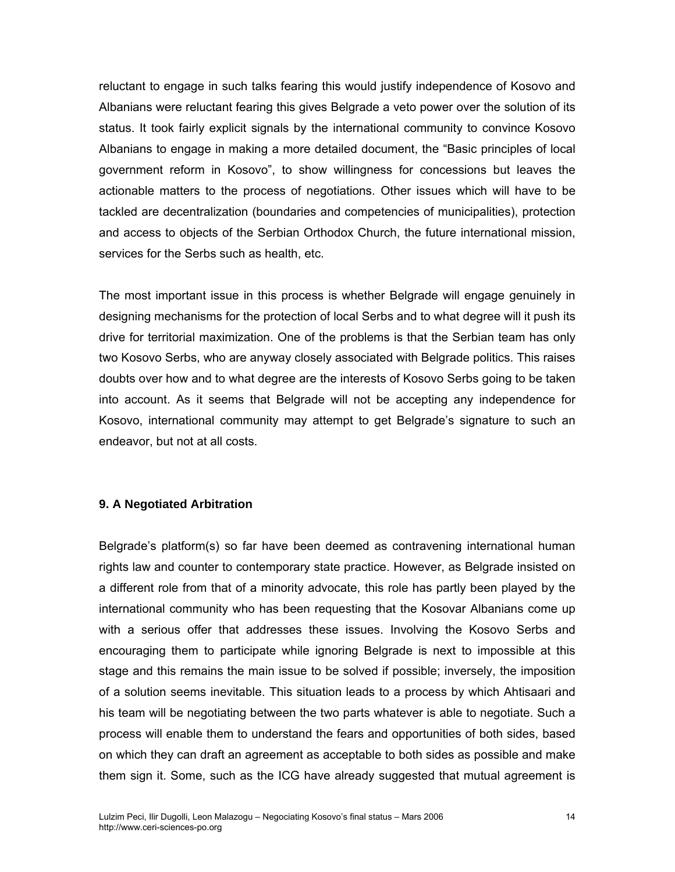reluctant to engage in such talks fearing this would justify independence of Kosovo and Albanians were reluctant fearing this gives Belgrade a veto power over the solution of its status. It took fairly explicit signals by the international community to convince Kosovo Albanians to engage in making a more detailed document, the "Basic principles of local government reform in Kosovo", to show willingness for concessions but leaves the actionable matters to the process of negotiations. Other issues which will have to be tackled are decentralization (boundaries and competencies of municipalities), protection and access to objects of the Serbian Orthodox Church, the future international mission, services for the Serbs such as health, etc.

The most important issue in this process is whether Belgrade will engage genuinely in designing mechanisms for the protection of local Serbs and to what degree will it push its drive for territorial maximization. One of the problems is that the Serbian team has only two Kosovo Serbs, who are anyway closely associated with Belgrade politics. This raises doubts over how and to what degree are the interests of Kosovo Serbs going to be taken into account. As it seems that Belgrade will not be accepting any independence for Kosovo, international community may attempt to get Belgrade's signature to such an endeavor, but not at all costs.

## **9. A Negotiated Arbitration**

Belgrade's platform(s) so far have been deemed as contravening international human rights law and counter to contemporary state practice. However, as Belgrade insisted on a different role from that of a minority advocate, this role has partly been played by the international community who has been requesting that the Kosovar Albanians come up with a serious offer that addresses these issues. Involving the Kosovo Serbs and encouraging them to participate while ignoring Belgrade is next to impossible at this stage and this remains the main issue to be solved if possible; inversely, the imposition of a solution seems inevitable. This situation leads to a process by which Ahtisaari and his team will be negotiating between the two parts whatever is able to negotiate. Such a process will enable them to understand the fears and opportunities of both sides, based on which they can draft an agreement as acceptable to both sides as possible and make them sign it. Some, such as the ICG have already suggested that mutual agreement is